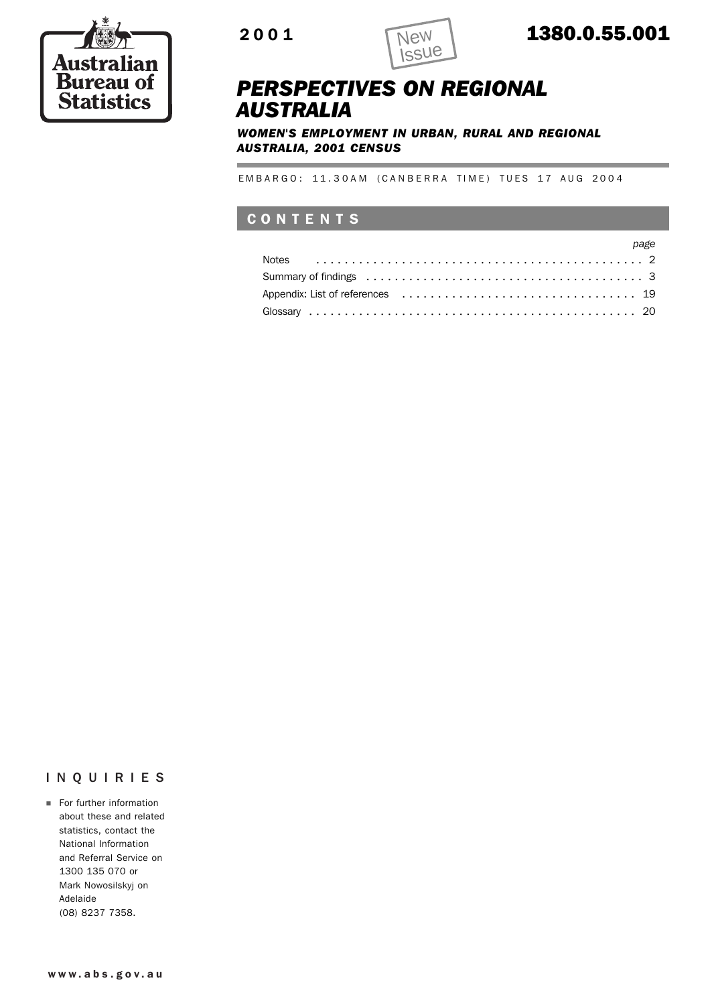

Ė



### 2001 1380.0.55.001

### *PERSPECTIVES ON REGIONAL AUSTRALIA*

*WOMEN'S EMPLOYMENT IN URBAN, RURAL AND REGIONAL AUSTRALIA, 2001 CENSUS*

EMBARGO: 11.30AM (CANBERRA TIME) TUES 17 AUG 2004

### **CONTENTS**

|  |  |  |  |  |  | page |
|--|--|--|--|--|--|------|
|  |  |  |  |  |  |      |
|  |  |  |  |  |  |      |
|  |  |  |  |  |  |      |
|  |  |  |  |  |  |      |

### INQUIRIES

**For further information** about these and related statistics, contact the National Information and Referral Service on 1300 135 070 or Mark Nowosilskyj on Adelaide (08) 8237 7358.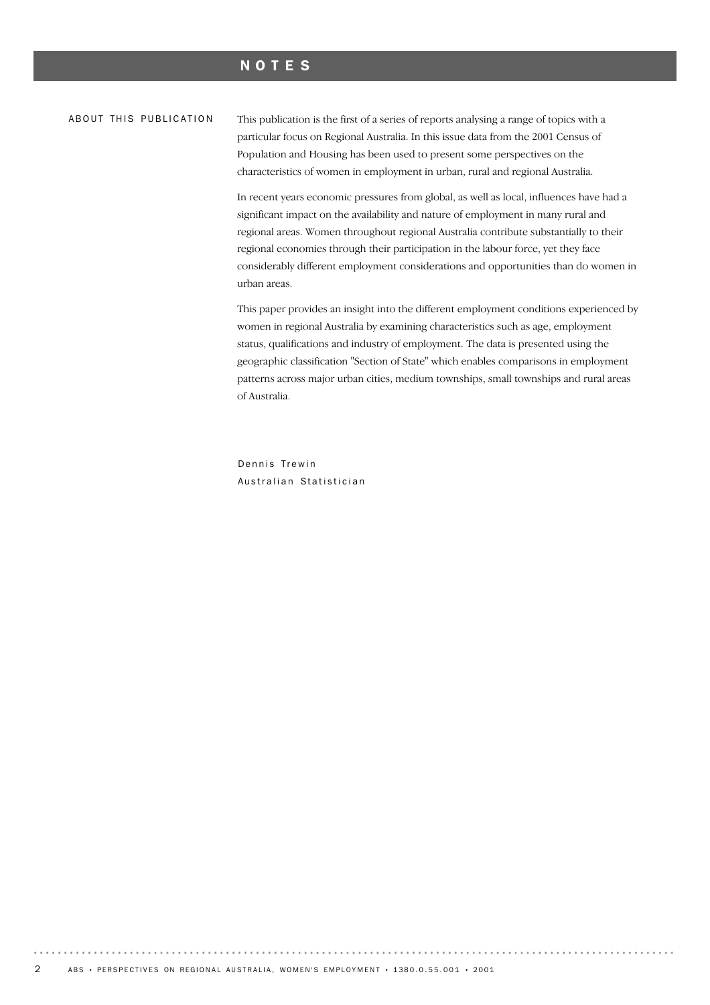### NOTES

#### ABOUT THIS PUBLICATION

This publication is the first of a series of reports analysing a range of topics with a particular focus on Regional Australia. In this issue data from the 2001 Census of Population and Housing has been used to present some perspectives on the characteristics of women in employment in urban, rural and regional Australia.

In recent years economic pressures from global, as well as local, influences have had a significant impact on the availability and nature of employment in many rural and regional areas. Women throughout regional Australia contribute substantially to their regional economies through their participation in the labour force, yet they face considerably different employment considerations and opportunities than do women in urban areas.

This paper provides an insight into the different employment conditions experienced by women in regional Australia by examining characteristics such as age, employment status, qualifications and industry of employment. The data is presented using the geographic classification "Section of State" which enables comparisons in employment patterns across major urban cities, medium townships, small townships and rural areas of Australia.

Dennis Trewin Australian Statistician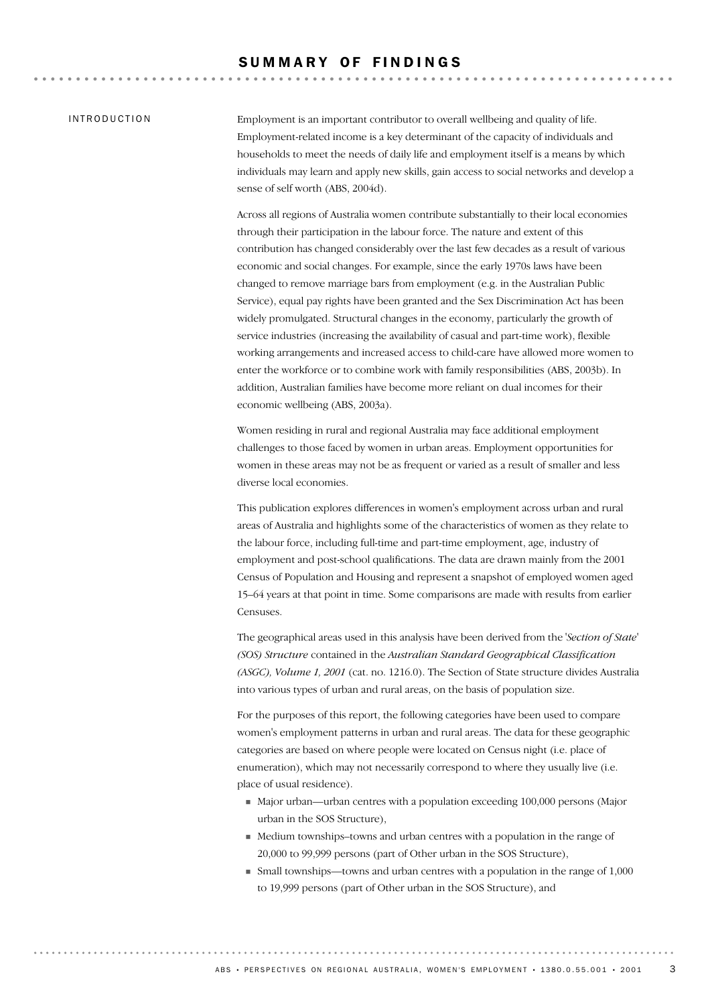### SUMMARY OF FINDINGS

### INTRODUCTION

Employment is an important contributor to overall wellbeing and quality of life. Employment-related income is a key determinant of the capacity of individuals and households to meet the needs of daily life and employment itself is a means by which individuals may learn and apply new skills, gain access to social networks and develop a sense of self worth (ABS, 2004d).

Across all regions of Australia women contribute substantially to their local economies through their participation in the labour force. The nature and extent of this contribution has changed considerably over the last few decades as a result of various economic and social changes. For example, since the early 1970s laws have been changed to remove marriage bars from employment (e.g. in the Australian Public Service), equal pay rights have been granted and the Sex Discrimination Act has been widely promulgated. Structural changes in the economy, particularly the growth of service industries (increasing the availability of casual and part-time work), flexible working arrangements and increased access to child-care have allowed more women to enter the workforce or to combine work with family responsibilities (ABS, 2003b). In addition, Australian families have become more reliant on dual incomes for their economic wellbeing (ABS, 2003a).

Women residing in rural and regional Australia may face additional employment challenges to those faced by women in urban areas. Employment opportunities for women in these areas may not be as frequent or varied as a result of smaller and less diverse local economies.

This publication explores differences in women's employment across urban and rural areas of Australia and highlights some of the characteristics of women as they relate to the labour force, including full-time and part-time employment, age, industry of employment and post-school qualifications. The data are drawn mainly from the 2001 Census of Population and Housing and represent a snapshot of employed women aged 15–64 years at that point in time. Some comparisons are made with results from earlier Censuses.

The geographical areas used in this analysis have been derived from the *'Section of State' (SOS) Structure* contained in the *Australian Standard Geographical Classification (ASGC), Volume 1, 2001* (cat. no. 1216.0). The Section of State structure divides Australia into various types of urban and rural areas, on the basis of population size.

For the purposes of this report, the following categories have been used to compare women's employment patterns in urban and rural areas. The data for these geographic categories are based on where people were located on Census night (i.e. place of enumeration), which may not necessarily correspond to where they usually live (i.e. place of usual residence).

- ! Major urban—urban centres with a population exceeding 100,000 persons (Major urban in the SOS Structure),
- ! Medium townships–towns and urban centres with a population in the range of 20,000 to 99,999 persons (part of Other urban in the SOS Structure),
- ! Small townships—towns and urban centres with a population in the range of 1,000 to 19,999 persons (part of Other urban in the SOS Structure), and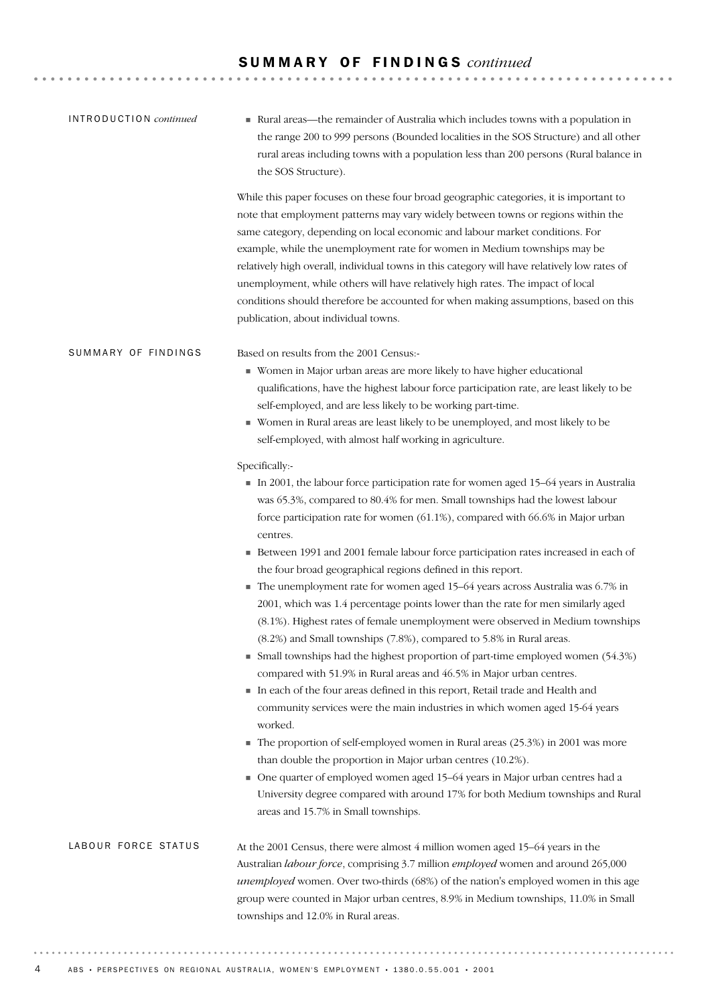| INTRODUCTION continued | Rural areas—the remainder of Australia which includes towns with a population in<br>the range 200 to 999 persons (Bounded localities in the SOS Structure) and all other<br>rural areas including towns with a population less than 200 persons (Rural balance in<br>the SOS Structure).                                                                                                                                                                                                                                                                                                                                                                   |
|------------------------|------------------------------------------------------------------------------------------------------------------------------------------------------------------------------------------------------------------------------------------------------------------------------------------------------------------------------------------------------------------------------------------------------------------------------------------------------------------------------------------------------------------------------------------------------------------------------------------------------------------------------------------------------------|
|                        | While this paper focuses on these four broad geographic categories, it is important to<br>note that employment patterns may vary widely between towns or regions within the<br>same category, depending on local economic and labour market conditions. For<br>example, while the unemployment rate for women in Medium townships may be<br>relatively high overall, individual towns in this category will have relatively low rates of<br>unemployment, while others will have relatively high rates. The impact of local<br>conditions should therefore be accounted for when making assumptions, based on this<br>publication, about individual towns. |
| SUMMARY OF FINDINGS    | Based on results from the 2001 Census:-<br>Women in Major urban areas are more likely to have higher educational<br>qualifications, have the highest labour force participation rate, are least likely to be<br>self-employed, and are less likely to be working part-time.<br>Women in Rural areas are least likely to be unemployed, and most likely to be<br>self-employed, with almost half working in agriculture.                                                                                                                                                                                                                                    |
|                        | Specifically:-<br>In 2001, the labour force participation rate for women aged 15-64 years in Australia<br>was 65.3%, compared to 80.4% for men. Small townships had the lowest labour<br>force participation rate for women (61.1%), compared with 66.6% in Major urban<br>centres.                                                                                                                                                                                                                                                                                                                                                                        |
|                        | Between 1991 and 2001 female labour force participation rates increased in each of<br>the four broad geographical regions defined in this report.<br>The unemployment rate for women aged 15-64 years across Australia was 6.7% in<br>2001, which was 1.4 percentage points lower than the rate for men similarly aged<br>(8.1%). Highest rates of female unemployment were observed in Medium townships<br>(8.2%) and Small townships (7.8%), compared to 5.8% in Rural areas.                                                                                                                                                                            |
|                        | • Small townships had the highest proportion of part-time employed women (54.3%)<br>compared with 51.9% in Rural areas and 46.5% in Major urban centres.<br>In each of the four areas defined in this report, Retail trade and Health and<br>community services were the main industries in which women aged 15-64 years<br>worked.                                                                                                                                                                                                                                                                                                                        |
|                        | The proportion of self-employed women in Rural areas (25.3%) in 2001 was more<br>than double the proportion in Major urban centres (10.2%).<br>• One quarter of employed women aged 15-64 years in Major urban centres had a<br>University degree compared with around 17% for both Medium townships and Rural<br>areas and 15.7% in Small townships.                                                                                                                                                                                                                                                                                                      |
| LABOUR FORCE STATUS    | At the 2001 Census, there were almost 4 million women aged 15-64 years in the<br>Australian labour force, comprising 3.7 million employed women and around 265,000<br>unemployed women. Over two-thirds (68%) of the nation's employed women in this age<br>group were counted in Major urban centres, 8.9% in Medium townships, 11.0% in Small<br>townships and 12.0% in Rural areas.                                                                                                                                                                                                                                                                     |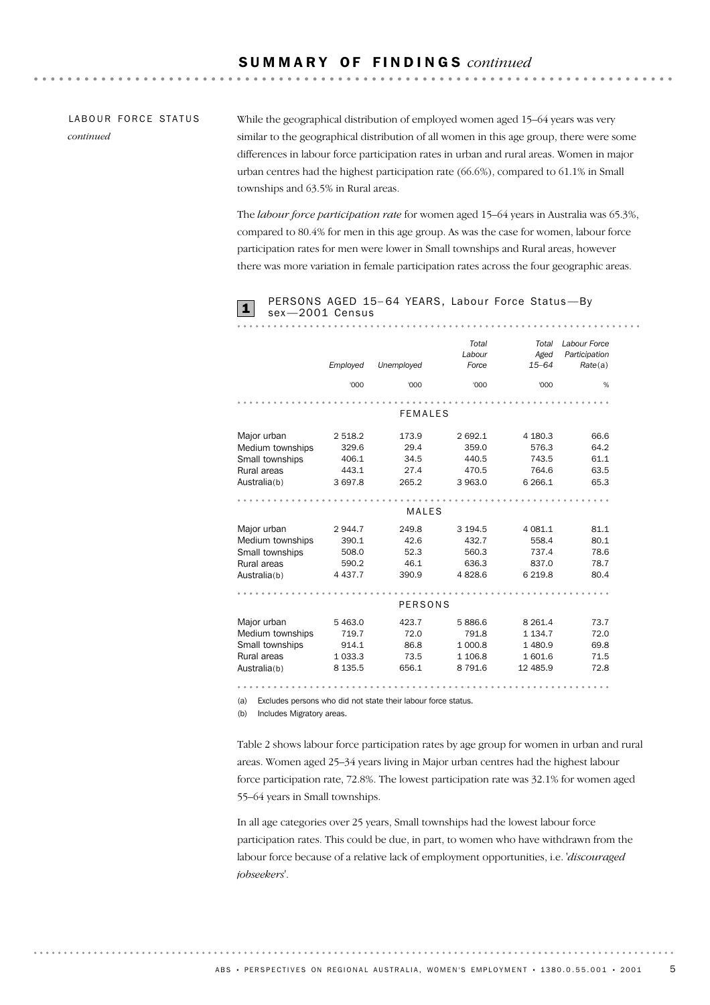### LABOUR FORCE STATUS *continued*

While the geographical distribution of employed women aged 15–64 years was very similar to the geographical distribution of all women in this age group, there were some differences in labour force participation rates in urban and rural areas. Women in major urban centres had the highest participation rate (66.6%), compared to 61.1% in Small townships and 63.5% in Rural areas.

. . . . . . .

The *labour force participation rate* for women aged 15–64 years in Australia was 65.3%, compared to 80.4% for men in this age group. As was the case for women, labour force participation rates for men were lower in Small townships and Rural areas, however there was more variation in female participation rates across the four geographic areas.



## PERSONS AGED 15-64 YEARS, Labour Force Status-By<br>sex-2001 Census

|                  | Employed    | Unemployed     | Total<br>Labour<br>Force | Total<br>Aged<br>$15 - 64$ | Labour Force<br>Participation<br>Rate(a) |
|------------------|-------------|----------------|--------------------------|----------------------------|------------------------------------------|
|                  | '000        | '000           | '000                     | '000                       | %                                        |
|                  |             |                |                          |                            |                                          |
|                  |             | <b>FEMALES</b> |                          |                            |                                          |
| Major urban      | 2 518.2     | 173.9          | 2 692.1                  | 4 180.3                    | 66.6                                     |
| Medium townships | 329.6       | 29.4           | 359.0                    | 576.3                      | 64.2                                     |
| Small townships  | 406.1       | 34.5           | 440.5                    | 743.5                      | 61.1                                     |
| Rural areas      | 443.1       | 27.4           | 470.5                    | 764.6                      | 63.5                                     |
| Australia(b)     | 3 697.8     | 265.2          | 3 963.0                  | 6 2 6 6.1                  | 65.3                                     |
|                  |             |                |                          |                            |                                          |
|                  |             | MALES          |                          |                            |                                          |
| Major urban      | 2944.7      | 249.8          | 3 194.5                  | 4 081.1                    | 81.1                                     |
| Medium townships | 390.1       | 42.6           | 432.7                    | 558.4                      | 80.1                                     |
| Small townships  | 508.0       | 52.3           | 560.3                    | 737.4                      | 78.6                                     |
| Rural areas      | 590.2       | 46.1           | 636.3                    | 837.0                      | 78.7                                     |
| Australia(b)     | 4 4 3 7 . 7 | 390.9          | 4828.6                   | 6 2 1 9.8                  | 80.4                                     |
|                  |             |                |                          |                            |                                          |
|                  |             | <b>PERSONS</b> |                          |                            |                                          |
| Major urban      | 5 4 6 3.0   | 423.7          | 5886.6                   | 8 2 6 1.4                  | 73.7                                     |
| Medium townships | 719.7       | 72.0           | 791.8                    | 1 1 3 4 . 7                | 72.0                                     |
| Small townships  | 914.1       | 86.8           | 1 000.8                  | 1 480.9                    | 69.8                                     |
| Rural areas      | 1 0 3 3 . 3 | 73.5           | 1 106.8                  | 1601.6                     | 71.5                                     |
| Australia(b)     | 8 1 3 5 .5  | 656.1          | 8 7 9 1.6                | 12 485.9                   | 72.8                                     |
|                  |             |                |                          |                            | .                                        |

(a) Excludes persons who did not state their labour force status.

(b) Includes Migratory areas.

Table 2 shows labour force participation rates by age group for women in urban and rural areas. Women aged 25–34 years living in Major urban centres had the highest labour force participation rate, 72.8%. The lowest participation rate was 32.1% for women aged 55–64 years in Small townships.

In all age categories over 25 years, Small townships had the lowest labour force participation rates. This could be due, in part, to women who have withdrawn from the labour force because of a relative lack of employment opportunities, i.e. *'discouraged jobseekers'*.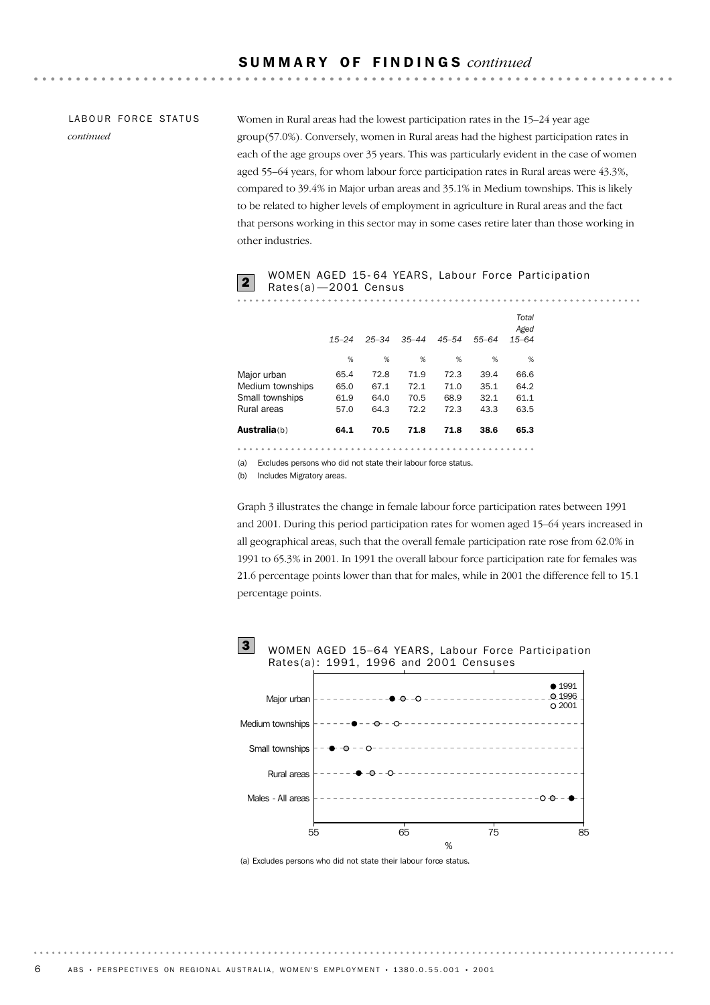### LABOUR FORCE STATUS *continued*

Women in Rural areas had the lowest participation rates in the 15–24 year age group(57.0%). Conversely, women in Rural areas had the highest participation rates in each of the age groups over 35 years. This was particularly evident in the case of women aged 55–64 years, for whom labour force participation rates in Rural areas were 43.3%, compared to 39.4% in Major urban areas and 35.1% in Medium townships. This is likely to be related to higher levels of employment in agriculture in Rural areas and the fact that persons working in this sector may in some cases retire later than those working in other industries.

### WOMEN AGED 15-64 YEARS, Labour Force Participation<br>Rates(a)-2001 Census

|                      | $15 - 24$ | $25 - 34$ | $35 - 44$ | $45 - 54$ | $55 - 64$ | Total<br>Aged<br>$15 - 64$ |
|----------------------|-----------|-----------|-----------|-----------|-----------|----------------------------|
|                      | %         | %         | %         | %         | %         | %                          |
| Major urban          | 65.4      | 72.8      | 71.9      | 72.3      | 39.4      | 66.6                       |
| Medium townships     | 65.0      | 67.1      | 72.1      | 71.0      | 35.1      | 64.2                       |
| Small townships      | 61.9      | 64.0      | 70.5      | 68.9      | 32.1      | 61.1                       |
| Rural areas          | 57.0      | 64.3      | 72.2      | 72.3      | 43.3      | 63.5                       |
| <b>Australia</b> (b) | 64.1      | 70.5      | 71.8      | 71.8      | 38.6      | 65.3                       |

(a) Excludes persons who did not state their labour force status.

(b) Includes Migratory areas.

Graph 3 illustrates the change in female labour force participation rates between 1991 and 2001. During this period participation rates for women aged 15–64 years increased in all geographical areas, such that the overall female participation rate rose from 62.0% in 1991 to 65.3% in 2001. In 1991 the overall labour force participation rate for females was 21.6 percentage points lower than that for males, while in 2001 the difference fell to 15.1 percentage points.



(a) Excludes persons who did not state their labour force status.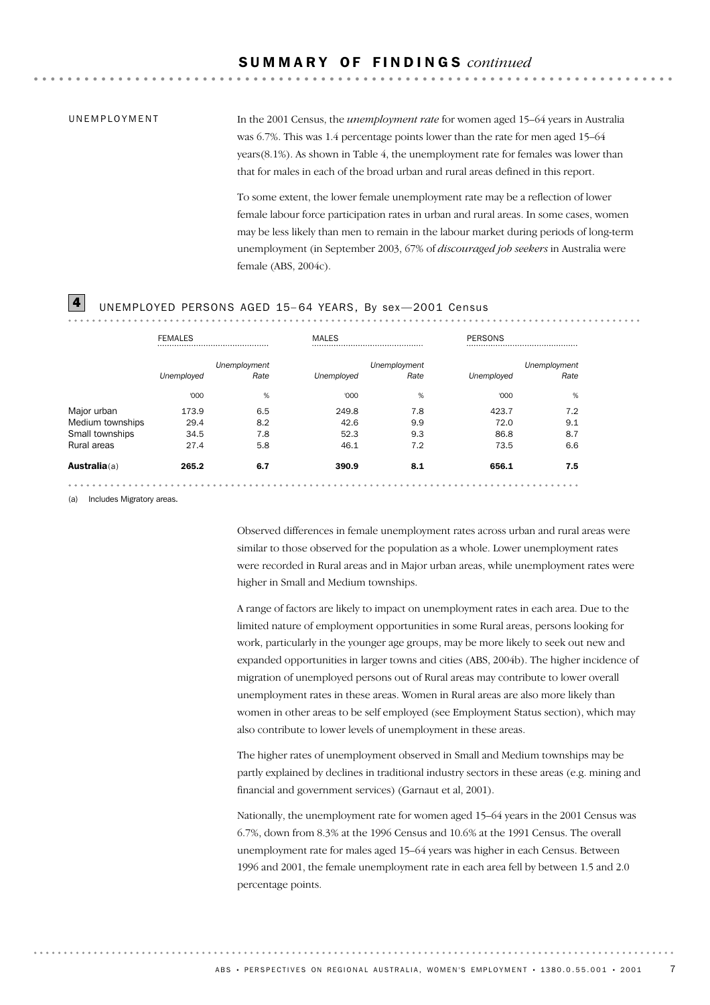### UNEMPLOYMENT

In the 2001 Census, the *unemployment rate* for women aged 15–64 years in Australia was 6.7%. This was 1.4 percentage points lower than the rate for men aged 15–64 years(8.1%). As shown in Table 4, the unemployment rate for females was lower than that for males in each of the broad urban and rural areas defined in this report.

**\*\*\*\*\*\*\*\*\*\*\*** 

To some extent, the lower female unemployment rate may be a reflection of lower female labour force participation rates in urban and rural areas. In some cases, women may be less likely than men to remain in the labour market during periods of long-term unemployment (in September 2003, 67% of *discouraged job seekers* in Australia were female (ABS, 2004c).

### $\boxed{4}$  UNEMPLOYED PERSONS AGED 15-64 YEARS, By sex-2001 Census

|                  | <b>FEMALES</b> |              | <b>MALES</b> |              | PERSONS    |              |
|------------------|----------------|--------------|--------------|--------------|------------|--------------|
|                  |                | Unemployment |              | Unemployment |            | Unemployment |
|                  | Unemployed     | Rate         | Unemployed   | Rate         | Unemployed | Rate         |
|                  | '000           | %            | '000         | %            | '000       | %            |
| Major urban      | 173.9          | 6.5          | 249.8        | 7.8          | 423.7      | 7.2          |
| Medium townships | 29.4           | 8.2          | 42.6         | 9.9          | 72.0       | 9.1          |
| Small townships  | 34.5           | 7.8          | 52.3         | 9.3          | 86.8       | 8.7          |
| Rural areas      | 27.4           | 5.8          | 46.1         | 7.2          | 73.5       | 6.6          |
| Australia(a)     | 265.2          | 6.7          | 390.9        | 8.1          | 656.1      | 7.5          |

(a) Includes Migratory areas.

Observed differences in female unemployment rates across urban and rural areas were similar to those observed for the population as a whole. Lower unemployment rates were recorded in Rural areas and in Major urban areas, while unemployment rates were higher in Small and Medium townships.

A range of factors are likely to impact on unemployment rates in each area. Due to the limited nature of employment opportunities in some Rural areas, persons looking for work, particularly in the younger age groups, may be more likely to seek out new and expanded opportunities in larger towns and cities (ABS, 2004b). The higher incidence of migration of unemployed persons out of Rural areas may contribute to lower overall unemployment rates in these areas. Women in Rural areas are also more likely than women in other areas to be self employed (see Employment Status section), which may also contribute to lower levels of unemployment in these areas.

The higher rates of unemployment observed in Small and Medium townships may be partly explained by declines in traditional industry sectors in these areas (e.g. mining and financial and government services) (Garnaut et al, 2001).

Nationally, the unemployment rate for women aged 15–64 years in the 2001 Census was 6.7%, down from 8.3% at the 1996 Census and 10.6% at the 1991 Census. The overall unemployment rate for males aged 15–64 years was higher in each Census. Between 1996 and 2001, the female unemployment rate in each area fell by between 1.5 and 2.0 percentage points.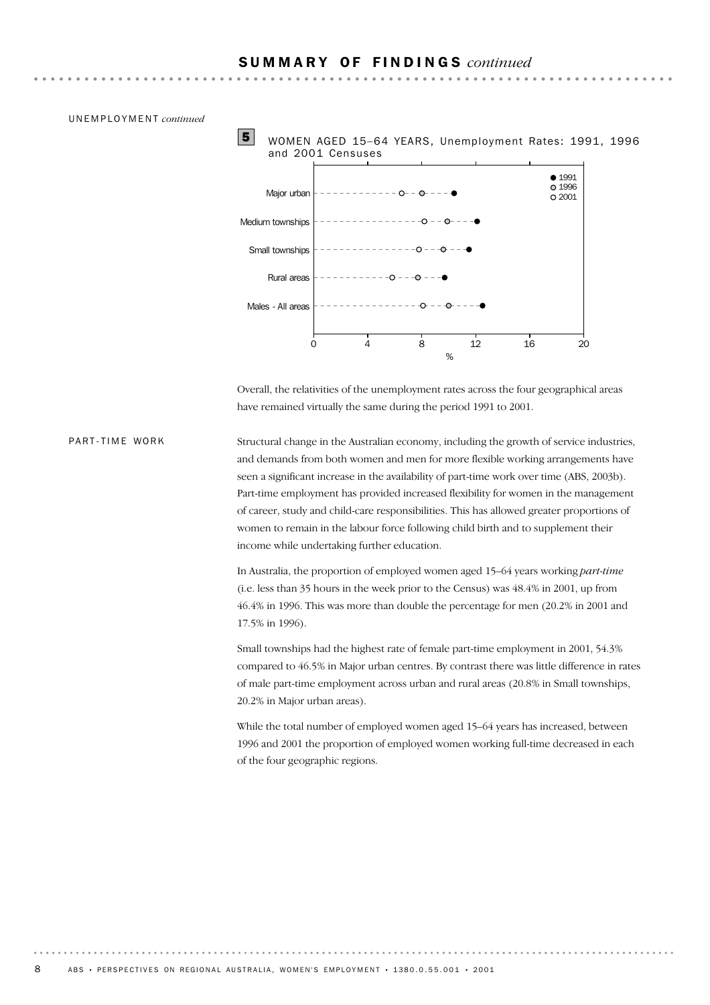



Overall, the relativities of the unemployment rates across the four geographical areas have remained virtually the same during the period 1991 to 2001.

Structural change in the Australian economy, including the growth of service industries, and demands from both women and men for more flexible working arrangements have seen a significant increase in the availability of part-time work over time (ABS, 2003b). Part-time employment has provided increased flexibility for women in the management of career, study and child-care responsibilities. This has allowed greater proportions of women to remain in the labour force following child birth and to supplement their income while undertaking further education. PART-TIME WORK

> In Australia, the proportion of employed women aged 15–64 years working *part-time* (i.e. less than 35 hours in the week prior to the Census) was 48.4% in 2001, up from 46.4% in 1996. This was more than double the percentage for men (20.2% in 2001 and 17.5% in 1996).

Small townships had the highest rate of female part-time employment in 2001, 54.3% compared to 46.5% in Major urban centres. By contrast there was little difference in rates of male part-time employment across urban and rural areas (20.8% in Small townships, 20.2% in Major urban areas).

While the total number of employed women aged 15–64 years has increased, between 1996 and 2001 the proportion of employed women working full-time decreased in each of the four geographic regions.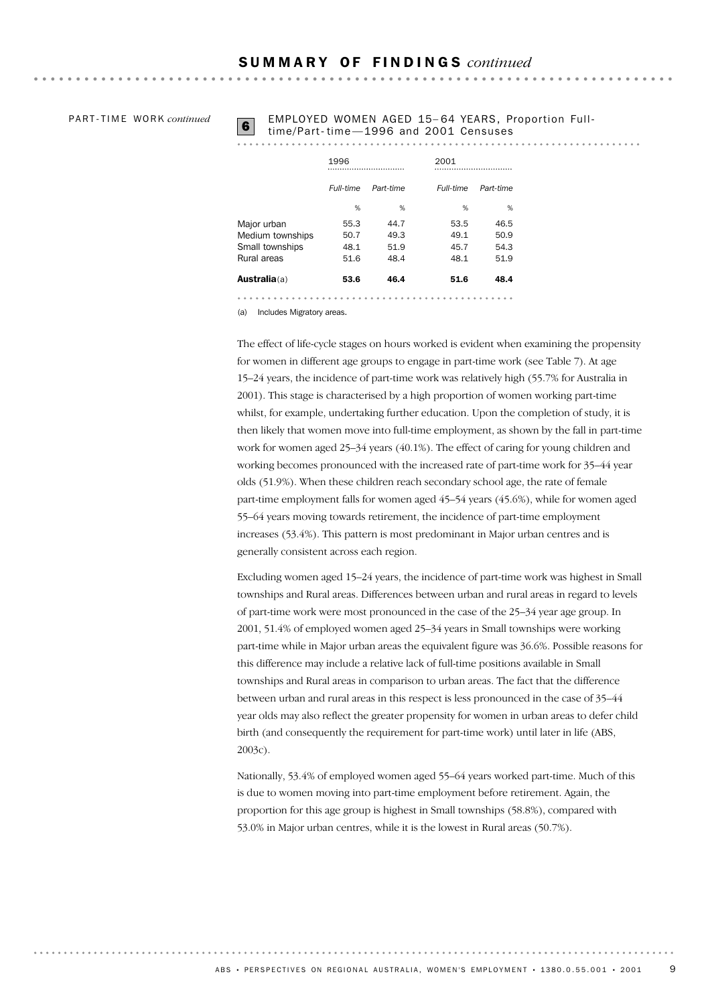PA R T - T I M E WO R K *continued*

# **6** EMPLOYED WOMEN AGED 15-64 YEARS, Proportion Full-<br>time/Part-time - 1996 and 2001 Censuses

. . . . . . . . . . . . . .

|                      | 1996<br>  |           | 2001      |           |  |
|----------------------|-----------|-----------|-----------|-----------|--|
|                      | Full-time | Part-time | Full-time | Part-time |  |
|                      | %         | %         | %         | %         |  |
| Major urban          | 55.3      | 44.7      | 53.5      | 46.5      |  |
| Medium townships     | 50.7      | 49.3      | 49.1      | 50.9      |  |
| Small townships      | 48.1      | 51.9      | 45.7      | 54.3      |  |
| Rural areas          | 51.6      | 48.4      | 48.1      | 51.9      |  |
| <b>Australia</b> (a) | 53.6      | 46.4      | 51.6      | 48.4      |  |
|                      |           |           |           |           |  |

(a) Includes Migratory areas.

The effect of life-cycle stages on hours worked is evident when examining the propensity for women in different age groups to engage in part-time work (see Table 7). At age 15–24 years, the incidence of part-time work was relatively high (55.7% for Australia in 2001). This stage is characterised by a high proportion of women working part-time whilst, for example, undertaking further education. Upon the completion of study, it is then likely that women move into full-time employment, as shown by the fall in part-time work for women aged 25–34 years (40.1%). The effect of caring for young children and working becomes pronounced with the increased rate of part-time work for 35–44 year olds (51.9%). When these children reach secondary school age, the rate of female part-time employment falls for women aged 45–54 years (45.6%), while for women aged 55–64 years moving towards retirement, the incidence of part-time employment increases (53.4%). This pattern is most predominant in Major urban centres and is generally consistent across each region.

Excluding women aged 15–24 years, the incidence of part-time work was highest in Small townships and Rural areas. Differences between urban and rural areas in regard to levels of part-time work were most pronounced in the case of the 25–34 year age group. In 2001, 51.4% of employed women aged 25–34 years in Small townships were working part-time while in Major urban areas the equivalent figure was 36.6%. Possible reasons for this difference may include a relative lack of full-time positions available in Small townships and Rural areas in comparison to urban areas. The fact that the difference between urban and rural areas in this respect is less pronounced in the case of 35–44 year olds may also reflect the greater propensity for women in urban areas to defer child birth (and consequently the requirement for part-time work) until later in life (ABS, 2003c).

Nationally, 53.4% of employed women aged 55–64 years worked part-time. Much of this is due to women moving into part-time employment before retirement. Again, the proportion for this age group is highest in Small townships (58.8%), compared with 53.0% in Major urban centres, while it is the lowest in Rural areas (50.7%).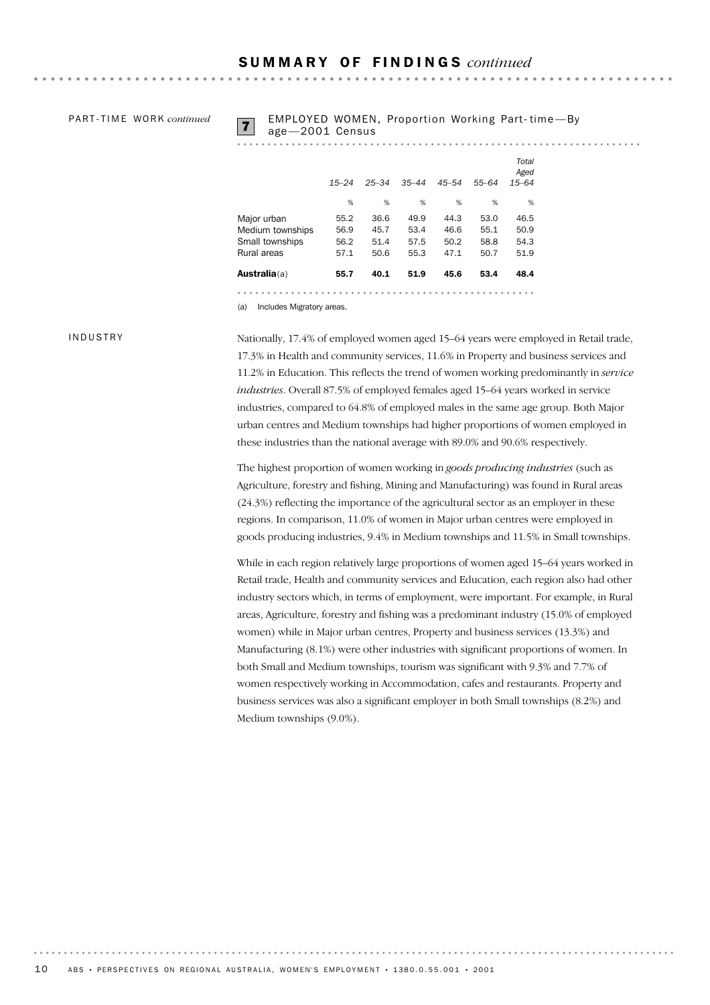PA R T - T I M E WO R K *continued*

# EMPLOYED WOMEN, Proportion Working Part-time—By<br>age -2001 Census

**\*\*\*\*\*\*\*\*\*\*\*\*** 

| <b>Australia</b> (a) | 55.7      | 40.1      | 51.9      | 45.6      | 53.4      | 48.4                       |
|----------------------|-----------|-----------|-----------|-----------|-----------|----------------------------|
| Rural areas          | 57.1      | 50.6      | 55.3      | 47.1      | 50.7      | 51.9                       |
| Small townships      | 56.2      | 51.4      | 57.5      | 50.2      | 58.8      | 54.3                       |
| Medium townships     | 56.9      | 45.7      | 53.4      | 46.6      | 55.1      | 50.9                       |
| Major urban          | 55.2      | 36.6      | 49.9      | 44.3      | 53.0      | 46.5                       |
|                      | %         | %         | %         | %         | %         | %                          |
|                      | $15 - 24$ | $25 - 34$ | $35 - 44$ | $45 - 54$ | $55 - 64$ | Total<br>Aged<br>$15 - 64$ |

INDUSTRY

Nationally, 17.4% of employed women aged 15–64 years were employed in Retail trade, 17.3% in Health and community services, 11.6% in Property and business services and 11.2% in Education. This reflects the trend of women working predominantly in *service industries*. Overall 87.5% of employed females aged 15–64 years worked in service industries, compared to 64.8% of employed males in the same age group. Both Major urban centres and Medium townships had higher proportions of women employed in these industries than the national average with 89.0% and 90.6% respectively.

The highest proportion of women working in *goods producing industries* (such as Agriculture, forestry and fishing, Mining and Manufacturing) was found in Rural areas (24.3%) reflecting the importance of the agricultural sector as an employer in these regions. In comparison, 11.0% of women in Major urban centres were employed in goods producing industries, 9.4% in Medium townships and 11.5% in Small townships.

While in each region relatively large proportions of women aged 15–64 years worked in Retail trade, Health and community services and Education, each region also had other industry sectors which, in terms of employment, were important. For example, in Rural areas, Agriculture, forestry and fishing was a predominant industry (15.0% of employed women) while in Major urban centres, Property and business services (13.3%) and Manufacturing (8.1%) were other industries with significant proportions of women. In both Small and Medium townships, tourism was significant with 9.3% and 7.7% of women respectively working in Accommodation, cafes and restaurants. Property and business services was also a significant employer in both Small townships (8.2%) and Medium townships (9.0%).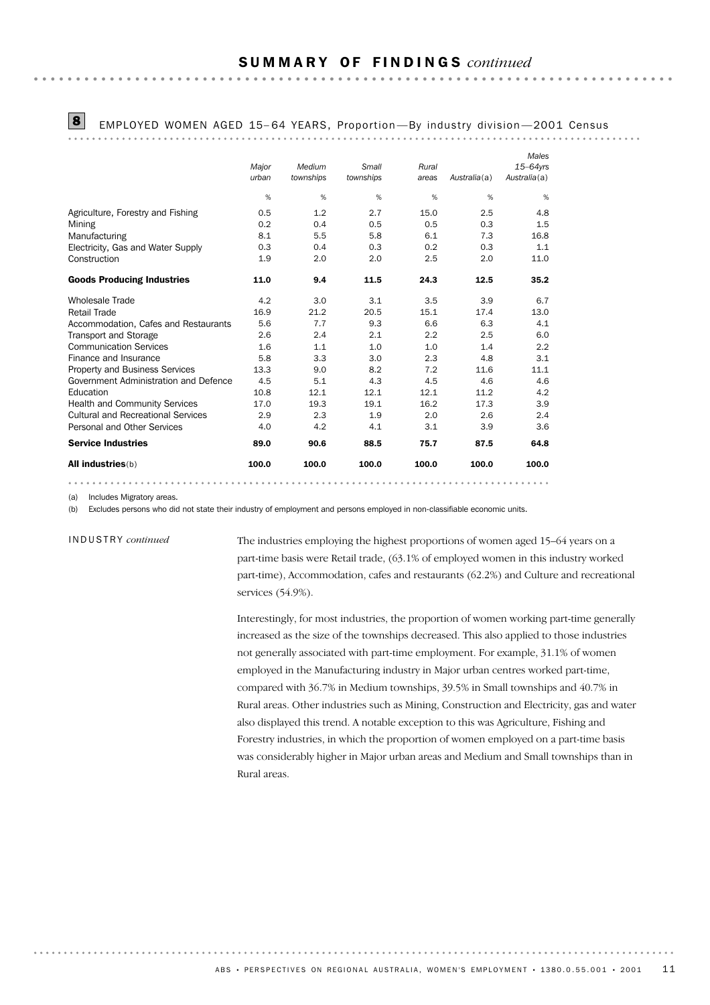**\*\*\*\*\*\*\*\*\*\*\*** 

8 EMPLOYED WOMEN AGED 15– 64 YEARS, Proportion —By industry division —2001 Census

|                                           |       |           |           |       |              | Males        |
|-------------------------------------------|-------|-----------|-----------|-------|--------------|--------------|
|                                           | Major | Medium    | Small     | Rural |              | $15-64$ yrs  |
|                                           | urban | townships | townships | areas | Australia(a) | Australia(a) |
|                                           | %     | %         | %         | %     | %            | %            |
| Agriculture, Forestry and Fishing         | 0.5   | 1.2       | 2.7       | 15.0  | 2.5          | 4.8          |
| Mining                                    | 0.2   | 0.4       | 0.5       | 0.5   | 0.3          | 1.5          |
| Manufacturing                             | 8.1   | 5.5       | 5.8       | 6.1   | 7.3          | 16.8         |
| Electricity, Gas and Water Supply         | 0.3   | 0.4       | 0.3       | 0.2   | 0.3          | 1.1          |
| Construction                              | 1.9   | 2.0       | 2.0       | 2.5   | 2.0          | 11.0         |
| <b>Goods Producing Industries</b>         | 11.0  | 9.4       | 11.5      | 24.3  | 12.5         | 35.2         |
| <b>Wholesale Trade</b>                    | 4.2   | 3.0       | 3.1       | 3.5   | 3.9          | 6.7          |
| <b>Retail Trade</b>                       | 16.9  | 21.2      | 20.5      | 15.1  | 17.4         | 13.0         |
| Accommodation, Cafes and Restaurants      | 5.6   | 7.7       | 9.3       | 6.6   | 6.3          | 4.1          |
| <b>Transport and Storage</b>              | 2.6   | 2.4       | 2.1       | 2.2   | 2.5          | 6.0          |
| <b>Communication Services</b>             | 1.6   | 1.1       | 1.0       | 1.0   | 1.4          | 2.2          |
| Finance and Insurance                     | 5.8   | 3.3       | 3.0       | 2.3   | 4.8          | 3.1          |
| <b>Property and Business Services</b>     | 13.3  | 9.0       | 8.2       | 7.2   | 11.6         | 11.1         |
| Government Administration and Defence     | 4.5   | 5.1       | 4.3       | 4.5   | 4.6          | 4.6          |
| Education                                 | 10.8  | 12.1      | 12.1      | 12.1  | 11.2         | 4.2          |
| <b>Health and Community Services</b>      | 17.0  | 19.3      | 19.1      | 16.2  | 17.3         | 3.9          |
| <b>Cultural and Recreational Services</b> | 2.9   | 2.3       | 1.9       | 2.0   | 2.6          | 2.4          |
| Personal and Other Services               | 4.0   | 4.2       | 4.1       | 3.1   | 3.9          | 3.6          |
| <b>Service Industries</b>                 | 89.0  | 90.6      | 88.5      | 75.7  | 87.5         | 64.8         |
| All industries(b)                         | 100.0 | 100.0     | 100.0     | 100.0 | 100.0        | 100.0        |

(a) Includes Migratory areas.

(b) Excludes persons who did not state their industry of employment and persons employed in non-classifiable economic units.

INDUSTRY *continued*

The industries employing the highest proportions of women aged 15–64 years on a part-time basis were Retail trade, (63.1% of employed women in this industry worked part-time), Accommodation, cafes and restaurants (62.2%) and Culture and recreational services (54.9%).

Interestingly, for most industries, the proportion of women working part-time generally increased as the size of the townships decreased. This also applied to those industries not generally associated with part-time employment. For example, 31.1% of women employed in the Manufacturing industry in Major urban centres worked part-time, compared with 36.7% in Medium townships, 39.5% in Small townships and 40.7% in Rural areas. Other industries such as Mining, Construction and Electricity, gas and water also displayed this trend. A notable exception to this was Agriculture, Fishing and Forestry industries, in which the proportion of women employed on a part-time basis was considerably higher in Major urban areas and Medium and Small townships than in Rural areas.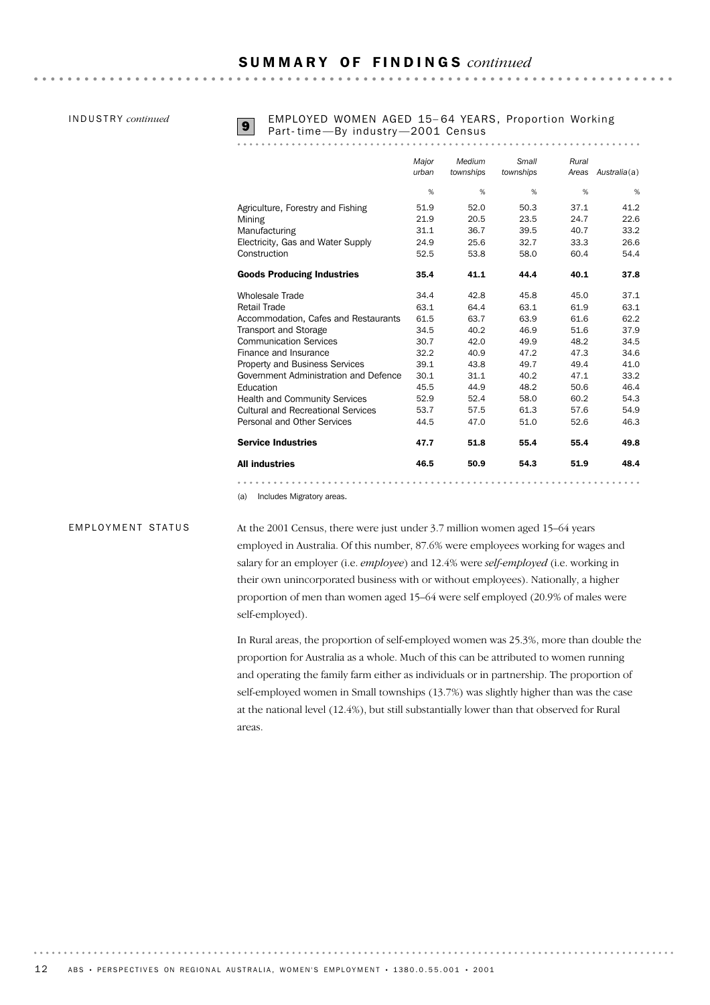INDUSTRY *continued*

### **9** EMPLOYED WOMEN AGED 15-64 YEARS, Proportion Working<br>Part- time - By industry - 2001 Census

|                                           | Major<br>urban | Medium<br>townships | Small<br>townships | Rural<br>Areas | Australia(a) |
|-------------------------------------------|----------------|---------------------|--------------------|----------------|--------------|
|                                           | %              | %                   | %                  | %              | %            |
| Agriculture, Forestry and Fishing         | 51.9           | 52.0                | 50.3               | 37.1           | 41.2         |
| Mining                                    | 21.9           | 20.5                | 23.5               | 24.7           | 22.6         |
| Manufacturing                             | 31.1           | 36.7                | 39.5               | 40.7           | 33.2         |
| Electricity, Gas and Water Supply         | 24.9           | 25.6                | 32.7               | 33.3           | 26.6         |
| Construction                              | 52.5           | 53.8                | 58.0               | 60.4           | 54.4         |
| <b>Goods Producing Industries</b>         | 35.4           | 41.1                | 44.4               | 40.1           | 37.8         |
| <b>Wholesale Trade</b>                    | 34.4           | 42.8                | 45.8               | 45.0           | 37.1         |
| <b>Retail Trade</b>                       | 63.1           | 64.4                | 63.1               | 61.9           | 63.1         |
| Accommodation, Cafes and Restaurants      | 61.5           | 63.7                | 63.9               | 61.6           | 62.2         |
| <b>Transport and Storage</b>              | 34.5           | 40.2                | 46.9               | 51.6           | 37.9         |
| <b>Communication Services</b>             | 30.7           | 42.0                | 49.9               | 48.2           | 34.5         |
| Finance and Insurance                     | 32.2           | 40.9                | 47.2               | 47.3           | 34.6         |
| <b>Property and Business Services</b>     | 39.1           | 43.8                | 49.7               | 49.4           | 41.0         |
| Government Administration and Defence     | 30.1           | 31.1                | 40.2               | 47.1           | 33.2         |
| Education                                 | 45.5           | 44.9                | 48.2               | 50.6           | 46.4         |
| <b>Health and Community Services</b>      | 52.9           | 52.4                | 58.0               | 60.2           | 54.3         |
| <b>Cultural and Recreational Services</b> | 53.7           | 57.5                | 61.3               | 57.6           | 54.9         |
| Personal and Other Services               | 44.5           | 47.0                | 51.0               | 52.6           | 46.3         |
| <b>Service Industries</b>                 | 47.7           | 51.8                | 55.4               | 55.4           | 49.8         |
| <b>All industries</b>                     | 46.5           | 50.9                | 54.3               | 51.9           | 48.4         |
|                                           |                |                     |                    |                |              |

(a) Includes Migratory areas.

### EMPLOYMENT STATUS

At the 2001 Census, there were just under 3.7 million women aged 15–64 years employed in Australia. Of this number, 87.6% were employees working for wages and salary for an employer (i.e. *employee*) and 12.4% were *self-employed* (i.e. working in their own unincorporated business with or without employees). Nationally, a higher proportion of men than women aged 15–64 were self employed (20.9% of males were self-employed).

In Rural areas, the proportion of self-employed women was 25.3%, more than double the proportion for Australia as a whole. Much of this can be attributed to women running and operating the family farm either as individuals or in partnership. The proportion of self-employed women in Small townships (13.7%) was slightly higher than was the case at the national level (12.4%), but still substantially lower than that observed for Rural areas.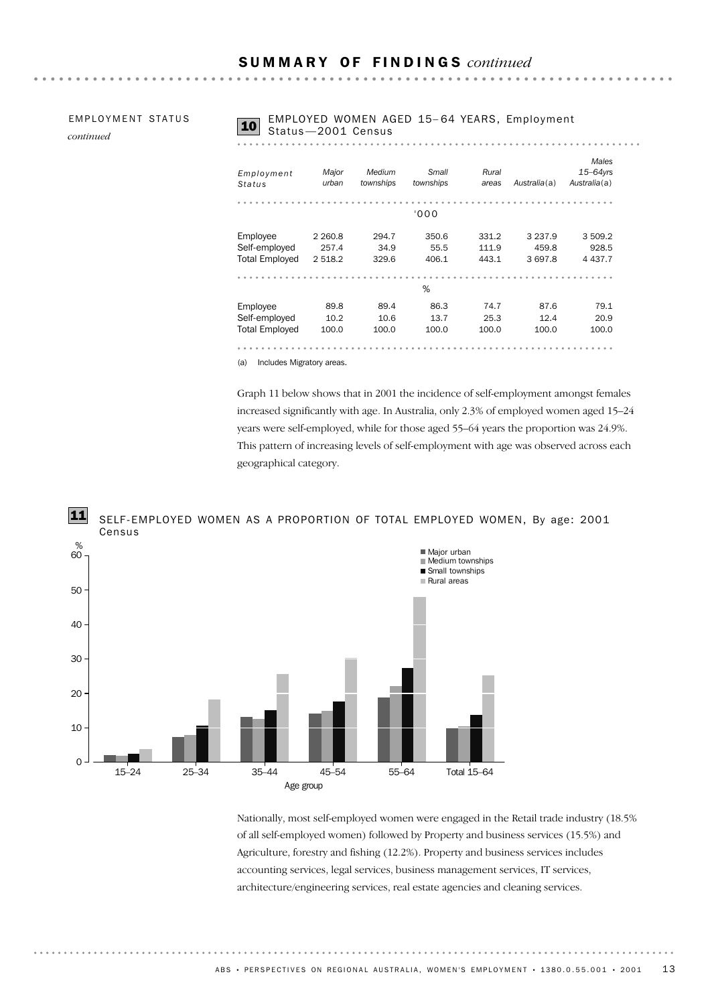**EMPLOYMENT STATUS** 

*continued*

### **10** EMPLOYED WOMEN AGED 15-64 YEARS, Employment . . . . . . . . . . . . . . . . . . .

| Employment            | Major     | Medium    | Small     | Rural |              | Males<br>$15-64$ yrs |
|-----------------------|-----------|-----------|-----------|-------|--------------|----------------------|
| Status                | urban     | townships | townships | areas | Australia(a) | Australia(a)         |
|                       |           |           |           |       |              |                      |
|                       |           |           |           |       |              |                      |
|                       |           |           | '000      |       |              |                      |
| Employee              | 2 2 6 0.8 | 294.7     | 350.6     | 331.2 | 3 2 3 7 .9   | 3 509.2              |
| Self-employed         | 257.4     | 34.9      | 55.5      | 111.9 | 459.8        | 928.5                |
| <b>Total Employed</b> | 2 5 18.2  | 329.6     | 406.1     | 443.1 | 3 697.8      | 4 4 3 7 . 7          |
|                       |           |           |           |       |              |                      |
|                       |           |           | %         |       |              |                      |
| Employee              | 89.8      | 89.4      | 86.3      | 74.7  | 87.6         | 79.1                 |
| Self-employed         | 10.2      | 10.6      | 13.7      | 25.3  | 12.4         | 20.9                 |
| <b>Total Employed</b> | 100.0     | 100.0     | 100.0     | 100.0 | 100.0        | 100.0                |

(a) Includes Migratory areas.

Graph 11 below shows that in 2001 the incidence of self-employment amongst females increased significantly with age. In Australia, only 2.3% of employed women aged 15–24 years were self-employed, while for those aged 55–64 years the proportion was 24.9%. This pattern of increasing levels of self-employment with age was observed across each geographical category.

#### SELF-EMPLOYED WOMEN AS A PROPORTION OF TOTAL EMPLOYED WOMEN, By age: 2001 Census 11



Nationally, most self-employed women were engaged in the Retail trade industry (18.5% of all self-employed women) followed by Property and business services (15.5%) and Agriculture, forestry and fishing (12.2%). Property and business services includes accounting services, legal services, business management services, IT services, architecture/engineering services, real estate agencies and cleaning services.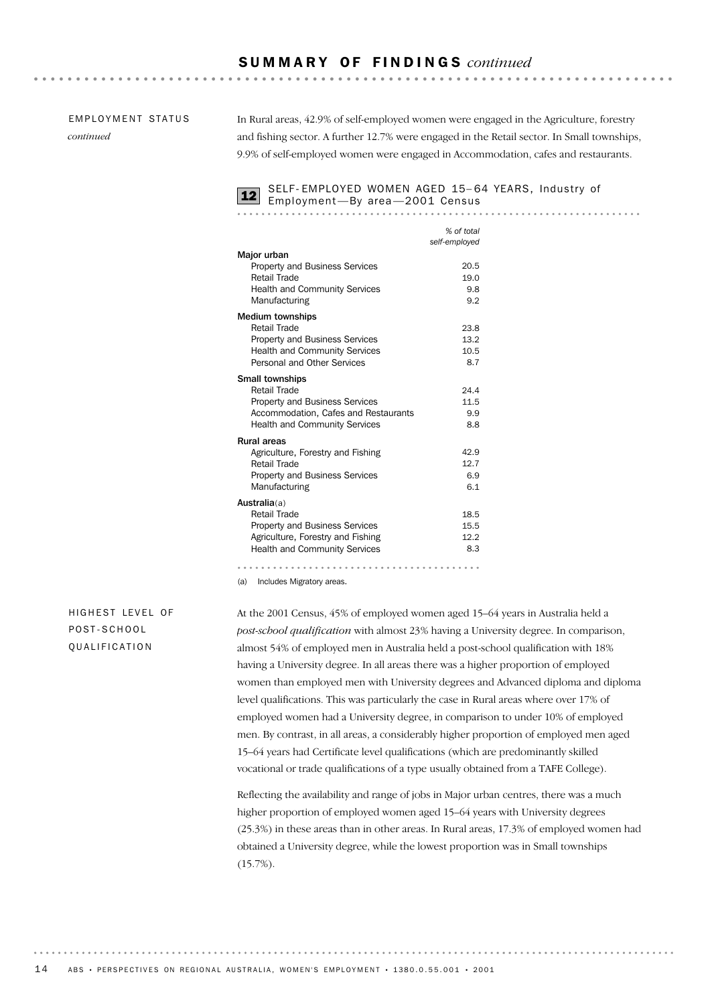#### **EMPLOYMENT STATUS**

*continued*

In Rural areas, 42.9% of self-employed women were engaged in the Agriculture, forestry and fishing sector. A further 12.7% were engaged in the Retail sector. In Small townships, 9.9% of self-employed women were engaged in Accommodation, cafes and restaurants.

SELF-EMPLOYED WOMEN AGED 15–64 YEARS, Industry of 12 Employment—By area—2001 Census

|                                       | % of total    |
|---------------------------------------|---------------|
|                                       | self-employed |
| Major urban                           |               |
| <b>Property and Business Services</b> | 20.5          |
| <b>Retail Trade</b>                   | 19.0          |
| Health and Community Services         | 9.8           |
| Manufacturing                         | 9.2           |
| <b>Medium townships</b>               |               |
| Retail Trade                          | 23.8          |
| <b>Property and Business Services</b> | 13.2          |
| <b>Health and Community Services</b>  | 10.5          |
| Personal and Other Services           | 8.7           |
| <b>Small townships</b>                |               |
| <b>Retail Trade</b>                   | 24.4          |
| <b>Property and Business Services</b> | 11.5          |
| Accommodation, Cafes and Restaurants  | 9.9           |
| <b>Health and Community Services</b>  | 8.8           |
| <b>Rural areas</b>                    |               |
| Agriculture, Forestry and Fishing     | 42.9          |
| <b>Retail Trade</b>                   | 12.7          |
| <b>Property and Business Services</b> | 6.9           |
| Manufacturing                         | 6.1           |
| Australia(a)                          |               |
| <b>Retail Trade</b>                   | 18.5          |
| Property and Business Services        | 15.5          |
| Agriculture, Forestry and Fishing     | 12.2          |
| <b>Health and Community Services</b>  | 8.3           |
|                                       |               |

(a) Includes Migratory areas.

### HIGHEST LEVEL OF POST-SCHOOL QUALIFICATION

At the 2001 Census, 45% of employed women aged 15–64 years in Australia held a *post-school qualification* with almost 23% having a University degree. In comparison, almost 54% of employed men in Australia held a post-school qualification with 18% having a University degree. In all areas there was a higher proportion of employed women than employed men with University degrees and Advanced diploma and diploma level qualifications. This was particularly the case in Rural areas where over 17% of employed women had a University degree, in comparison to under 10% of employed men. By contrast, in all areas, a considerably higher proportion of employed men aged 15–64 years had Certificate level qualifications (which are predominantly skilled vocational or trade qualifications of a type usually obtained from a TAFE College).

Reflecting the availability and range of jobs in Major urban centres, there was a much higher proportion of employed women aged 15–64 years with University degrees (25.3%) in these areas than in other areas. In Rural areas, 17.3% of employed women had obtained a University degree, while the lowest proportion was in Small townships  $(15.7\%).$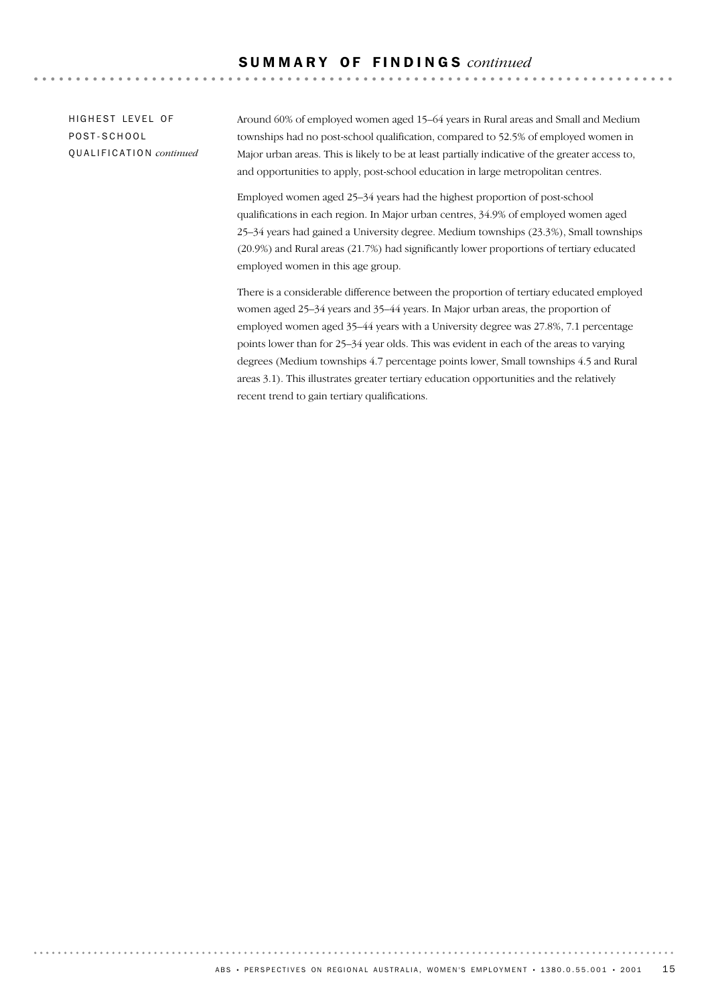HIGHEST LEVEL OF POST-SCHOOL QUALIFICATION *continued* Around 60% of employed women aged 15–64 years in Rural areas and Small and Medium townships had no post-school qualification, compared to 52.5% of employed women in Major urban areas. This is likely to be at least partially indicative of the greater access to, and opportunities to apply, post-school education in large metropolitan centres.

 $-$ 

Employed women aged 25–34 years had the highest proportion of post-school qualifications in each region. In Major urban centres, 34.9% of employed women aged 25–34 years had gained a University degree. Medium townships (23.3%), Small townships (20.9%) and Rural areas (21.7%) had significantly lower proportions of tertiary educated employed women in this age group.

There is a considerable difference between the proportion of tertiary educated employed women aged 25–34 years and 35–44 years. In Major urban areas, the proportion of employed women aged 35–44 years with a University degree was 27.8%, 7.1 percentage points lower than for 25–34 year olds. This was evident in each of the areas to varying degrees (Medium townships 4.7 percentage points lower, Small townships 4.5 and Rural areas 3.1). This illustrates greater tertiary education opportunities and the relatively recent trend to gain tertiary qualifications.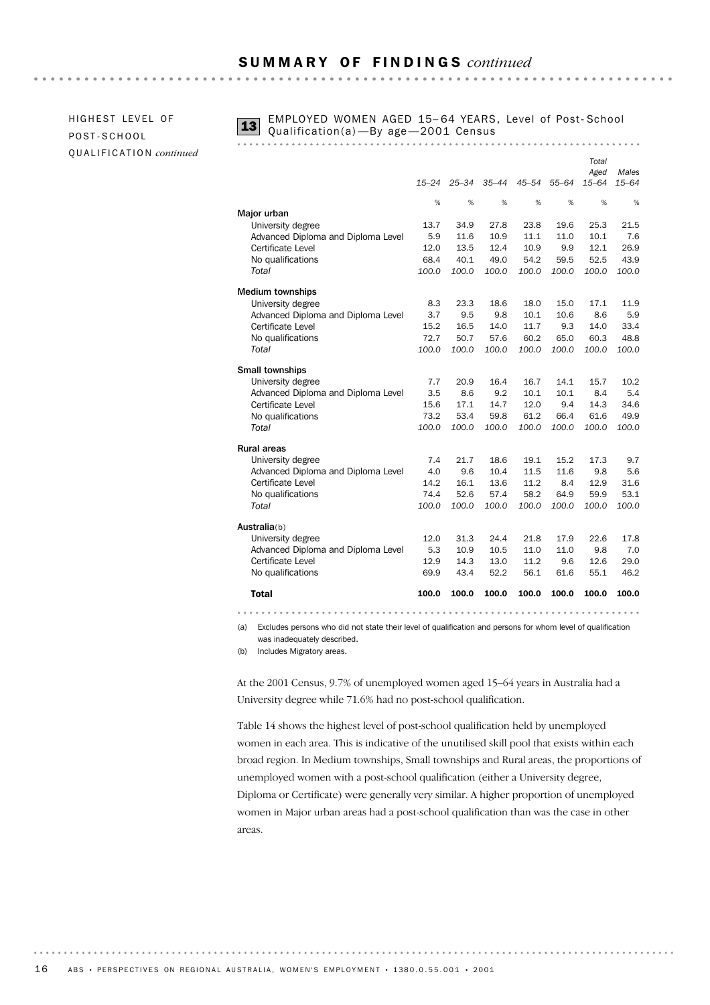HIGHEST LEVEL OF POST-SCHOOL QUALIFICATION *continued*



**13** EMPLOYED WOMEN AGED 15-64 YEARS, Level of Post-School<br>Qualification(a) —By age —2001 Census

|                                    |           |           |           |       |           | Total<br>Aged | Males     |
|------------------------------------|-----------|-----------|-----------|-------|-----------|---------------|-----------|
|                                    | $15 - 24$ | $25 - 34$ | $35 - 44$ | 45–54 | $55 - 64$ | $15 - 64$     | $15 - 64$ |
|                                    | %         | %         | %         | %     | %         | %             | %         |
| Major urban                        |           |           |           |       |           |               |           |
| University degree                  | 13.7      | 34.9      | 27.8      | 23.8  | 19.6      | 25.3          | 21.5      |
| Advanced Diploma and Diploma Level | 5.9       | 11.6      | 10.9      | 11.1  | 11.0      | 10.1          | 7.6       |
| Certificate Level                  | 12.0      | 13.5      | 12.4      | 10.9  | 9.9       | 12.1          | 26.9      |
| No qualifications                  | 68.4      | 40.1      | 49.0      | 54.2  | 59.5      | 52.5          | 43.9      |
| Total                              | 100.0     | 100.0     | 100.0     | 100.0 | 100.0     | 100.0         | 100.0     |
| <b>Medium townships</b>            |           |           |           |       |           |               |           |
| University degree                  | 8.3       | 23.3      | 18.6      | 18.0  | 15.0      | 17.1          | 11.9      |
| Advanced Diploma and Diploma Level | 3.7       | 9.5       | 9.8       | 10.1  | 10.6      | 8.6           | 5.9       |
| Certificate Level                  | 15.2      | 16.5      | 14.0      | 11.7  | 9.3       | 14.0          | 33.4      |
| No qualifications                  | 72.7      | 50.7      | 57.6      | 60.2  | 65.0      | 60.3          | 48.8      |
| Total                              | 100.0     | 100.0     | 100.0     | 100.0 | 100.0     | 100.0         | 100.0     |
| Small townships                    |           |           |           |       |           |               |           |
| University degree                  | 7.7       | 20.9      | 16.4      | 16.7  | 14.1      | 15.7          | 10.2      |
| Advanced Diploma and Diploma Level | 3.5       | 8.6       | 9.2       | 10.1  | 10.1      | 8.4           | 5.4       |
| Certificate Level                  | 15.6      | 17.1      | 14.7      | 12.0  | 9.4       | 14.3          | 34.6      |
| No qualifications                  | 73.2      | 53.4      | 59.8      | 61.2  | 66.4      | 61.6          | 49.9      |
| Total                              | 100.0     | 100.0     | 100.0     | 100.0 | 100.0     | 100.0         | 100.0     |
| <b>Rural areas</b>                 |           |           |           |       |           |               |           |
| University degree                  | 7.4       | 21.7      | 18.6      | 19.1  | 15.2      | 17.3          | 9.7       |
| Advanced Diploma and Diploma Level | 4.0       | 9.6       | 10.4      | 11.5  | 11.6      | 9.8           | 5.6       |
| Certificate Level                  | 14.2      | 16.1      | 13.6      | 11.2  | 8.4       | 12.9          | 31.6      |
| No qualifications                  | 74.4      | 52.6      | 57.4      | 58.2  | 64.9      | 59.9          | 53.1      |
| Total                              | 100.0     | 100.0     | 100.0     | 100.0 | 100.0     | 100.0         | 100.0     |
| Australia(b)                       |           |           |           |       |           |               |           |
| University degree                  | 12.0      | 31.3      | 24.4      | 21.8  | 17.9      | 22.6          | 17.8      |
| Advanced Diploma and Diploma Level | 5.3       | 10.9      | 10.5      | 11.0  | 11.0      | 9.8           | 7.0       |
| Certificate Level                  | 12.9      | 14.3      | 13.0      | 11.2  | 9.6       | 12.6          | 29.0      |
| No qualifications                  | 69.9      | 43.4      | 52.2      | 56.1  | 61.6      | 55.1          | 46.2      |
| <b>Total</b>                       | 100.0     | 100.0     | 100.0     | 100.0 | 100.0     | 100.0         | 100.0     |
| .                                  |           |           |           |       |           |               |           |

(a) Excludes persons who did not state their level of qualification and persons for whom level of qualification was inadequately described.

(b) Includes Migratory areas.

At the 2001 Census, 9.7% of unemployed women aged 15–64 years in Australia had a University degree while 71.6% had no post-school qualification.

Table 14 shows the highest level of post-school qualification held by unemployed women in each area. This is indicative of the unutilised skill pool that exists within each broad region. In Medium townships, Small townships and Rural areas, the proportions of unemployed women with a post-school qualification (either a University degree, Diploma or Certificate) were generally very similar. A higher proportion of unemployed women in Major urban areas had a post-school qualification than was the case in other areas.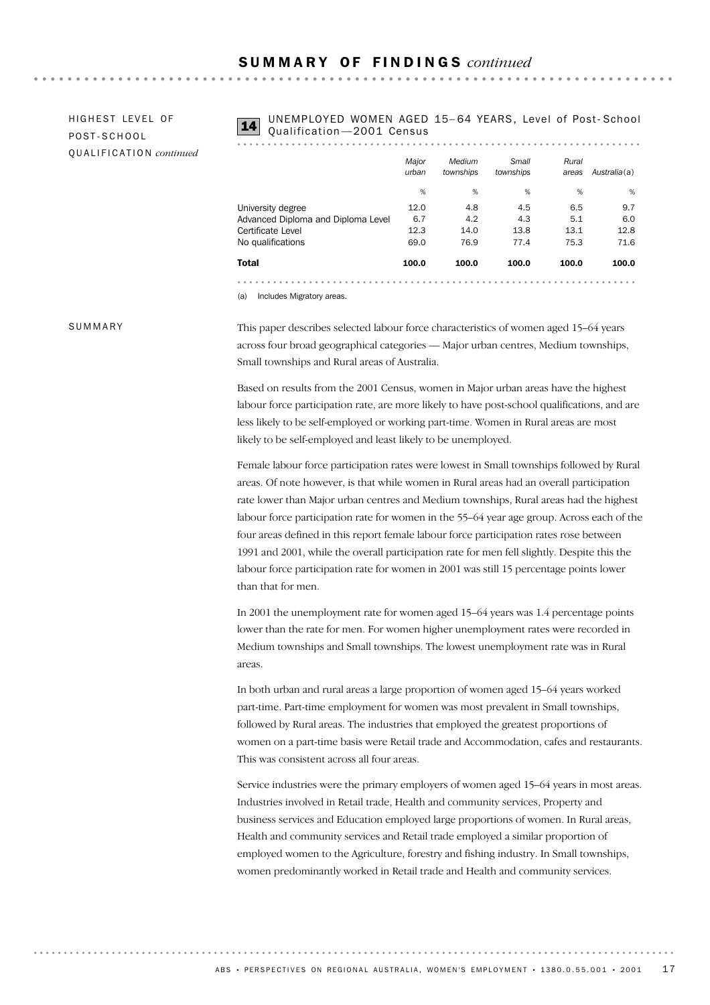HIGHEST LEVEL OF POST-SCHOOL QUALIFICATION *continued* UNEMPLOYED WOMEN AGED 15-64 YEARS, Level of Post-School<br>Qualification -2001 Census

. . . . . . . . . . . . . . . .

| Total                              | 100.0          | 100.0               | 100.0              | 100.0          | 100.0        |
|------------------------------------|----------------|---------------------|--------------------|----------------|--------------|
| No qualifications                  | 69.0           | 76.9                | 77.4               | 75.3           | 71.6         |
| Certificate Level                  | 12.3           | 14.0                | 13.8               | 13.1           | 12.8         |
| Advanced Diploma and Diploma Level | 6.7            | 4.2                 | 4.3                | 5.1            | 6.0          |
| University degree                  | 12.0           | 4.8                 | 4.5                | 6.5            | 9.7          |
|                                    | %              | %                   | %                  | %              | %            |
|                                    | Major<br>urban | Medium<br>townships | Small<br>townships | Rural<br>areas | Australia(a) |
|                                    |                |                     |                    |                |              |

(a) Includes Migratory areas.

#### SUMMARY

This paper describes selected labour force characteristics of women aged 15–64 years across four broad geographical categories — Major urban centres, Medium townships, Small townships and Rural areas of Australia.

Based on results from the 2001 Census, women in Major urban areas have the highest labour force participation rate, are more likely to have post-school qualifications, and are less likely to be self-employed or working part-time. Women in Rural areas are most likely to be self-employed and least likely to be unemployed.

Female labour force participation rates were lowest in Small townships followed by Rural areas. Of note however, is that while women in Rural areas had an overall participation rate lower than Major urban centres and Medium townships, Rural areas had the highest labour force participation rate for women in the 55–64 year age group. Across each of the four areas defined in this report female labour force participation rates rose between 1991 and 2001, while the overall participation rate for men fell slightly. Despite this the labour force participation rate for women in 2001 was still 15 percentage points lower than that for men.

In 2001 the unemployment rate for women aged 15–64 years was 1.4 percentage points lower than the rate for men. For women higher unemployment rates were recorded in Medium townships and Small townships. The lowest unemployment rate was in Rural areas.

In both urban and rural areas a large proportion of women aged 15–64 years worked part-time. Part-time employment for women was most prevalent in Small townships, followed by Rural areas. The industries that employed the greatest proportions of women on a part-time basis were Retail trade and Accommodation, cafes and restaurants. This was consistent across all four areas.

Service industries were the primary employers of women aged 15–64 years in most areas. Industries involved in Retail trade, Health and community services, Property and business services and Education employed large proportions of women. In Rural areas, Health and community services and Retail trade employed a similar proportion of employed women to the Agriculture, forestry and fishing industry. In Small townships, women predominantly worked in Retail trade and Health and community services.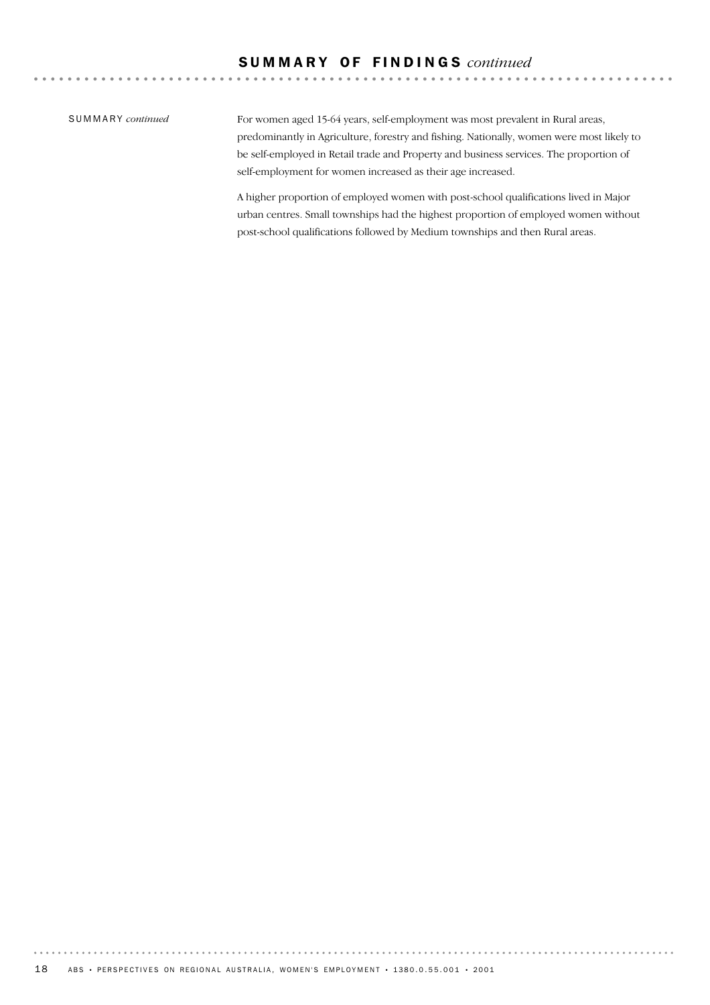### SUMMARY *continued*

For women aged 15-64 years, self-employment was most prevalent in Rural areas, predominantly in Agriculture, forestry and fishing. Nationally, women were most likely to be self-employed in Retail trade and Property and business services. The proportion of self-employment for women increased as their age increased.

A higher proportion of employed women with post-school qualifications lived in Major urban centres. Small townships had the highest proportion of employed women without post-school qualifications followed by Medium townships and then Rural areas.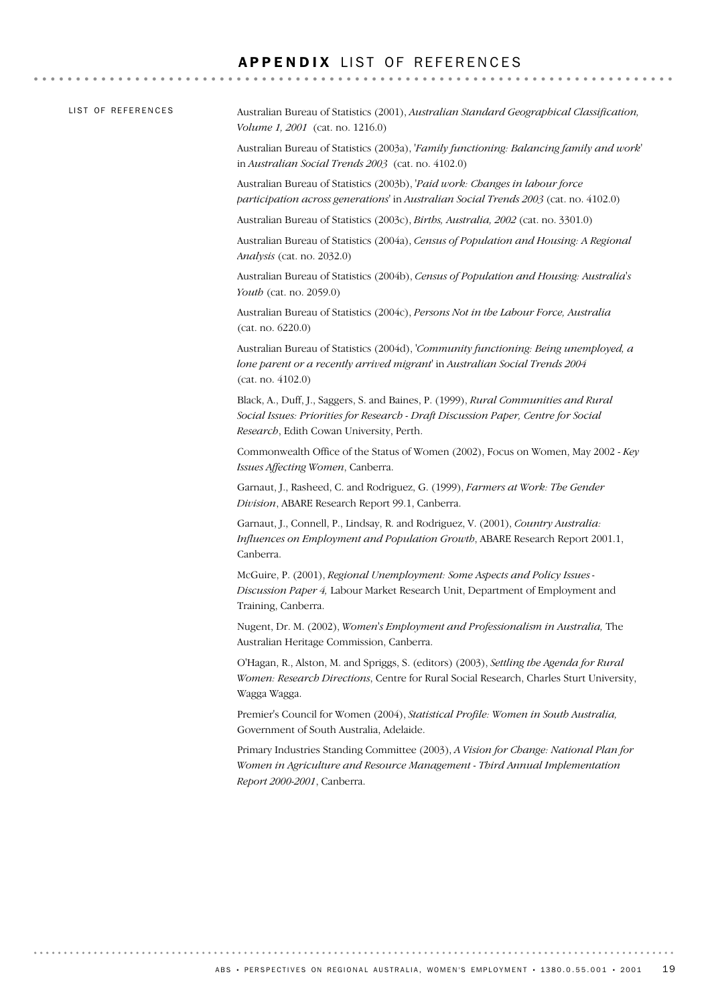### APPENDIX LIST OF REFERENCES

| LIST OF REFERENCES | Australian Bureau of Statistics (2001), Australian Standard Geographical Classification,<br>Volume 1, 2001 (cat. no. 1216.0)                                                                                          |
|--------------------|-----------------------------------------------------------------------------------------------------------------------------------------------------------------------------------------------------------------------|
|                    | Australian Bureau of Statistics (2003a), <i>Family functioning: Balancing family and work</i><br>in Australian Social Trends 2003 (cat. no. 4102.0)                                                                   |
|                    | Australian Bureau of Statistics (2003b), 'Paid work: Changes in labour force<br>participation across generations' in Australian Social Trends 2003 (cat. no. 4102.0)                                                  |
|                    | Australian Bureau of Statistics (2003c), <i>Births, Australia, 2002</i> (cat. no. 3301.0)                                                                                                                             |
|                    | Australian Bureau of Statistics (2004a), Census of Population and Housing: A Regional<br>Analysis (cat. no. 2032.0)                                                                                                   |
|                    | Australian Bureau of Statistics (2004b), Census of Population and Housing: Australia's<br>Youth (cat. no. 2059.0)                                                                                                     |
|                    | Australian Bureau of Statistics (2004c), Persons Not in the Labour Force, Australia<br>(cat. no. 6220.0)                                                                                                              |
|                    | Australian Bureau of Statistics (2004d), 'Community functioning: Being unemployed, a<br>lone parent or a recently arrived migrant' in Australian Social Trends 2004<br>(cat. no. 4102.0)                              |
|                    | Black, A., Duff, J., Saggers, S. and Baines, P. (1999), Rural Communities and Rural<br>Social Issues: Priorities for Research - Draft Discussion Paper, Centre for Social<br>Research, Edith Cowan University, Perth. |
|                    | Commonwealth Office of the Status of Women (2002), Focus on Women, May 2002 - Key<br>Issues Affecting Women, Canberra.                                                                                                |
|                    | Garnaut, J., Rasheed, C. and Rodriguez, G. (1999), Farmers at Work: The Gender<br>Division, ABARE Research Report 99.1, Canberra.                                                                                     |
|                    | Garnaut, J., Connell, P., Lindsay, R. and Rodriguez, V. (2001), Country Australia:<br>Influences on Employment and Population Growth, ABARE Research Report 2001.1,<br>Canberra.                                      |
|                    | McGuire, P. (2001), Regional Unemployment: Some Aspects and Policy Issues -<br>Discussion Paper 4, Labour Market Research Unit, Department of Employment and<br>Training, Canberra.                                   |
|                    | Nugent, Dr. M. (2002), Women's Employment and Professionalism in Australia, The<br>Australian Heritage Commission, Canberra.                                                                                          |
|                    | O'Hagan, R., Alston, M. and Spriggs, S. (editors) (2003), Settling the Agenda for Rural<br>Women: Research Directions, Centre for Rural Social Research, Charles Sturt University,<br>Wagga Wagga.                    |
|                    | Premier's Council for Women (2004), Statistical Profile: Women in South Australia,<br>Government of South Australia, Adelaide.                                                                                        |
|                    | Primary Industries Standing Committee (2003), A Vision for Change: National Plan for<br>Women in Agriculture and Resource Management - Third Annual Implementation<br>Report 2000-2001, Canberra.                     |
|                    |                                                                                                                                                                                                                       |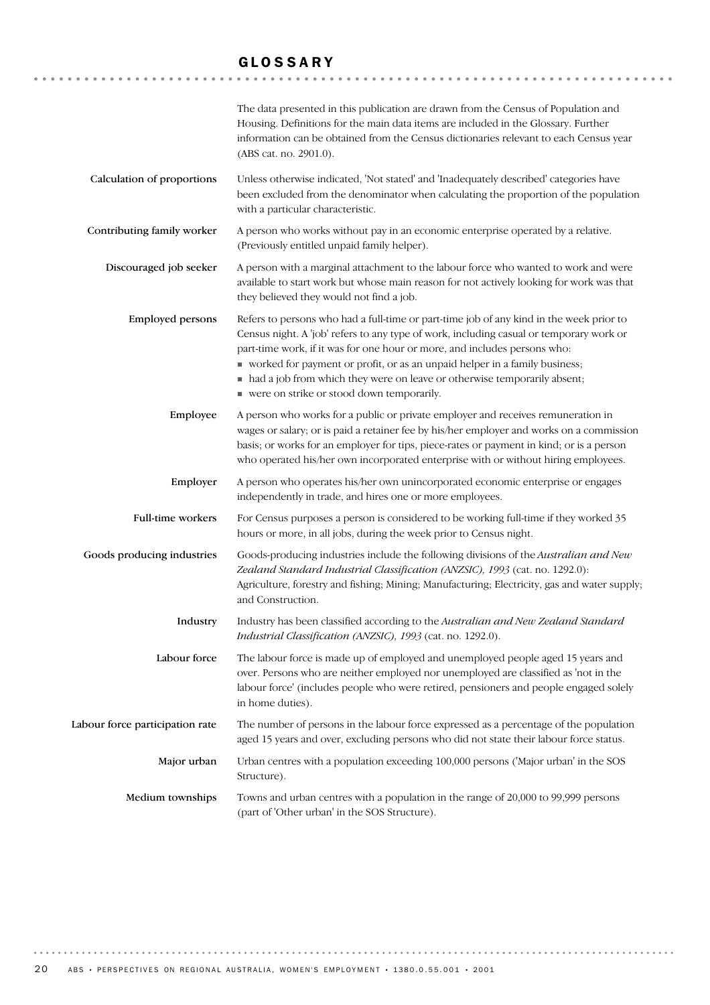### GLOSSARY

|                                 | The data presented in this publication are drawn from the Census of Population and<br>Housing. Definitions for the main data items are included in the Glossary. Further<br>information can be obtained from the Census dictionaries relevant to each Census year<br>(ABS cat. no. 2901.0).                                                                                                                                                                                |
|---------------------------------|----------------------------------------------------------------------------------------------------------------------------------------------------------------------------------------------------------------------------------------------------------------------------------------------------------------------------------------------------------------------------------------------------------------------------------------------------------------------------|
| Calculation of proportions      | Unless otherwise indicated, 'Not stated' and 'Inadequately described' categories have<br>been excluded from the denominator when calculating the proportion of the population<br>with a particular characteristic.                                                                                                                                                                                                                                                         |
| Contributing family worker      | A person who works without pay in an economic enterprise operated by a relative.<br>(Previously entitled unpaid family helper).                                                                                                                                                                                                                                                                                                                                            |
| Discouraged job seeker          | A person with a marginal attachment to the labour force who wanted to work and were<br>available to start work but whose main reason for not actively looking for work was that<br>they believed they would not find a job.                                                                                                                                                                                                                                                |
| <b>Employed persons</b>         | Refers to persons who had a full-time or part-time job of any kind in the week prior to<br>Census night. A 'job' refers to any type of work, including casual or temporary work or<br>part-time work, if it was for one hour or more, and includes persons who:<br>worked for payment or profit, or as an unpaid helper in a family business;<br>• had a job from which they were on leave or otherwise temporarily absent;<br>• were on strike or stood down temporarily. |
| Employee                        | A person who works for a public or private employer and receives remuneration in<br>wages or salary; or is paid a retainer fee by his/her employer and works on a commission<br>basis; or works for an employer for tips, piece-rates or payment in kind; or is a person<br>who operated his/her own incorporated enterprise with or without hiring employees.                                                                                                             |
| Employer                        | A person who operates his/her own unincorporated economic enterprise or engages<br>independently in trade, and hires one or more employees.                                                                                                                                                                                                                                                                                                                                |
| Full-time workers               | For Census purposes a person is considered to be working full-time if they worked 35<br>hours or more, in all jobs, during the week prior to Census night.                                                                                                                                                                                                                                                                                                                 |
| Goods producing industries      | Goods-producing industries include the following divisions of the Australian and New<br>Zealand Standard Industrial Classification (ANZSIC), 1993 (cat. no. 1292.0):<br>Agriculture, forestry and fishing; Mining; Manufacturing; Electricity, gas and water supply;<br>and Construction.                                                                                                                                                                                  |
| Industry                        | Industry has been classified according to the Australian and New Zealand Standard<br>Industrial Classification (ANZSIC), 1993 (cat. no. 1292.0).                                                                                                                                                                                                                                                                                                                           |
| Labour force                    | The labour force is made up of employed and unemployed people aged 15 years and<br>over. Persons who are neither employed nor unemployed are classified as 'not in the<br>labour force' (includes people who were retired, pensioners and people engaged solely<br>in home duties).                                                                                                                                                                                        |
| Labour force participation rate | The number of persons in the labour force expressed as a percentage of the population<br>aged 15 years and over, excluding persons who did not state their labour force status.                                                                                                                                                                                                                                                                                            |
| Major urban                     | Urban centres with a population exceeding 100,000 persons ('Major urban' in the SOS<br>Structure).                                                                                                                                                                                                                                                                                                                                                                         |
| Medium townships                | Towns and urban centres with a population in the range of 20,000 to 99,999 persons<br>(part of 'Other urban' in the SOS Structure).                                                                                                                                                                                                                                                                                                                                        |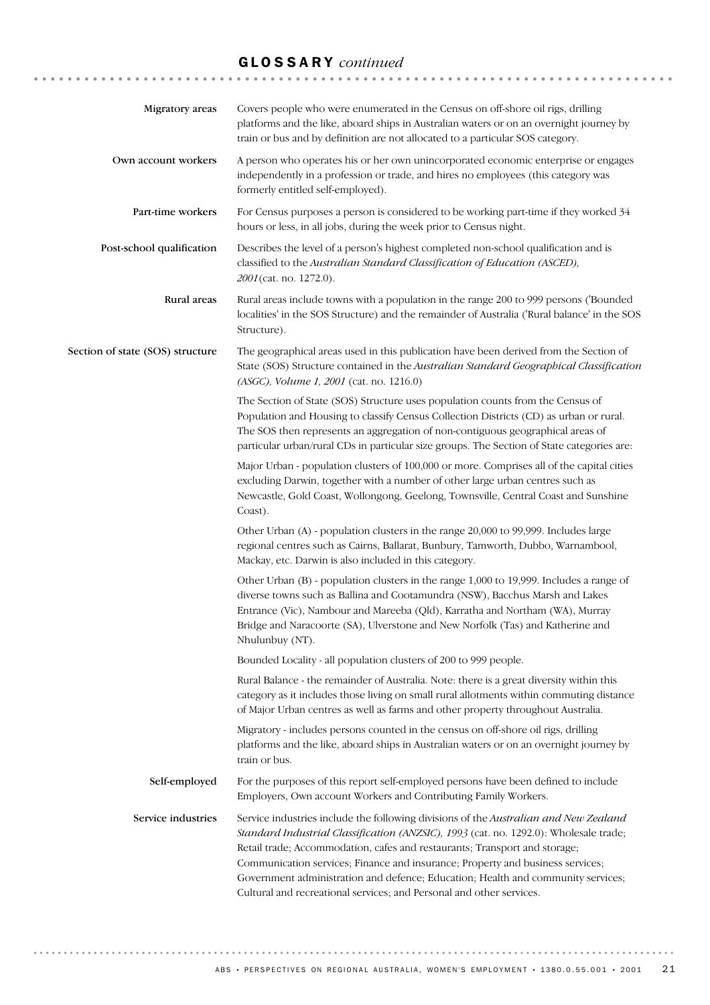# GLOSSARY *continued*

| Migratory areas                  | Covers people who were enumerated in the Census on off-shore oil rigs, drilling<br>platforms and the like, aboard ships in Australian waters or on an overnight journey by<br>train or bus and by definition are not allocated to a particular SOS category.                                                                                                                                                                                                                                              |
|----------------------------------|-----------------------------------------------------------------------------------------------------------------------------------------------------------------------------------------------------------------------------------------------------------------------------------------------------------------------------------------------------------------------------------------------------------------------------------------------------------------------------------------------------------|
| Own account workers              | A person who operates his or her own unincorporated economic enterprise or engages<br>independently in a profession or trade, and hires no employees (this category was<br>formerly entitled self-employed).                                                                                                                                                                                                                                                                                              |
| Part-time workers                | For Census purposes a person is considered to be working part-time if they worked 34<br>hours or less, in all jobs, during the week prior to Census night.                                                                                                                                                                                                                                                                                                                                                |
| Post-school qualification        | Describes the level of a person's highest completed non-school qualification and is<br>classified to the Australian Standard Classification of Education (ASCED),<br>2001 (cat. no. 1272.0).                                                                                                                                                                                                                                                                                                              |
| Rural areas                      | Rural areas include towns with a population in the range 200 to 999 persons ('Bounded<br>localities' in the SOS Structure) and the remainder of Australia ('Rural balance' in the SOS<br>Structure).                                                                                                                                                                                                                                                                                                      |
| Section of state (SOS) structure | The geographical areas used in this publication have been derived from the Section of<br>State (SOS) Structure contained in the Australian Standard Geographical Classification<br>(ASGC), Volume 1, 2001 (cat. no. 1216.0)                                                                                                                                                                                                                                                                               |
|                                  | The Section of State (SOS) Structure uses population counts from the Census of<br>Population and Housing to classify Census Collection Districts (CD) as urban or rural.<br>The SOS then represents an aggregation of non-contiguous geographical areas of<br>particular urban/rural CDs in particular size groups. The Section of State categories are:                                                                                                                                                  |
|                                  | Major Urban - population clusters of 100,000 or more. Comprises all of the capital cities<br>excluding Darwin, together with a number of other large urban centres such as<br>Newcastle, Gold Coast, Wollongong, Geelong, Townsville, Central Coast and Sunshine<br>Coast).                                                                                                                                                                                                                               |
|                                  | Other Urban (A) - population clusters in the range 20,000 to 99,999. Includes large<br>regional centres such as Cairns, Ballarat, Bunbury, Tamworth, Dubbo, Warnambool,<br>Mackay, etc. Darwin is also included in this category.                                                                                                                                                                                                                                                                         |
|                                  | Other Urban (B) - population clusters in the range 1,000 to 19,999. Includes a range of<br>diverse towns such as Ballina and Cootamundra (NSW), Bacchus Marsh and Lakes<br>Entrance (Vic), Nambour and Mareeba (Qld), Karratha and Northam (WA), Murray<br>Bridge and Naracoorte (SA), Ulverstone and New Norfolk (Tas) and Katherine and<br>Nhulunbuy (NT).                                                                                                                                              |
|                                  | Bounded Locality - all population clusters of 200 to 999 people.                                                                                                                                                                                                                                                                                                                                                                                                                                          |
|                                  | Rural Balance - the remainder of Australia. Note: there is a great diversity within this<br>category as it includes those living on small rural allotments within commuting distance<br>of Major Urban centres as well as farms and other property throughout Australia.                                                                                                                                                                                                                                  |
|                                  | Migratory - includes persons counted in the census on off-shore oil rigs, drilling<br>platforms and the like, aboard ships in Australian waters or on an overnight journey by<br>train or bus.                                                                                                                                                                                                                                                                                                            |
| Self-employed                    | For the purposes of this report self-employed persons have been defined to include<br>Employers, Own account Workers and Contributing Family Workers.                                                                                                                                                                                                                                                                                                                                                     |
| Service industries               | Service industries include the following divisions of the Australian and New Zealand<br>Standard Industrial Classification (ANZSIC), 1993 (cat. no. 1292.0): Wholesale trade;<br>Retail trade; Accommodation, cafes and restaurants; Transport and storage;<br>Communication services; Finance and insurance; Property and business services;<br>Government administration and defence; Education; Health and community services;<br>Cultural and recreational services; and Personal and other services. |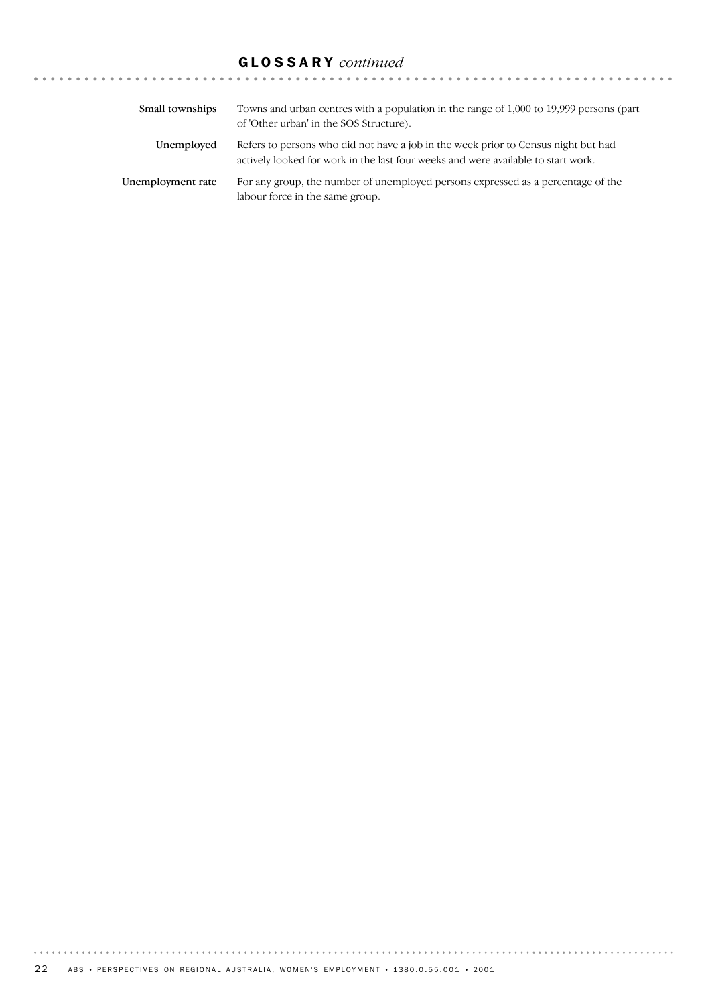# GLOSSARY *continued*

| Small townships   | Towns and urban centres with a population in the range of 1,000 to 19,999 persons (part<br>of 'Other urban' in the SOS Structure).                                      |
|-------------------|-------------------------------------------------------------------------------------------------------------------------------------------------------------------------|
| Unemployed        | Refers to persons who did not have a job in the week prior to Census night but had<br>actively looked for work in the last four weeks and were available to start work. |
| Unemployment rate | For any group, the number of unemployed persons expressed as a percentage of the<br>labour force in the same group.                                                     |